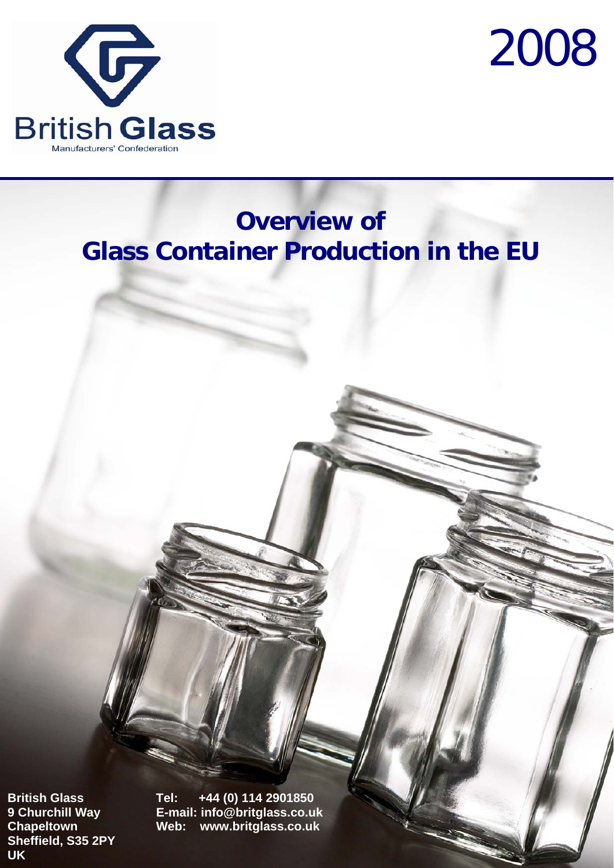



# **Overview of Glass Container Production in the EU**

**Sheffield, S35 2PY UK**

**British Glass Tel: +44 (0) 114 2901850 9 Churchill Way E-mail: info@britglass.co.uk Chapeltown Web: www.britglass.co.uk**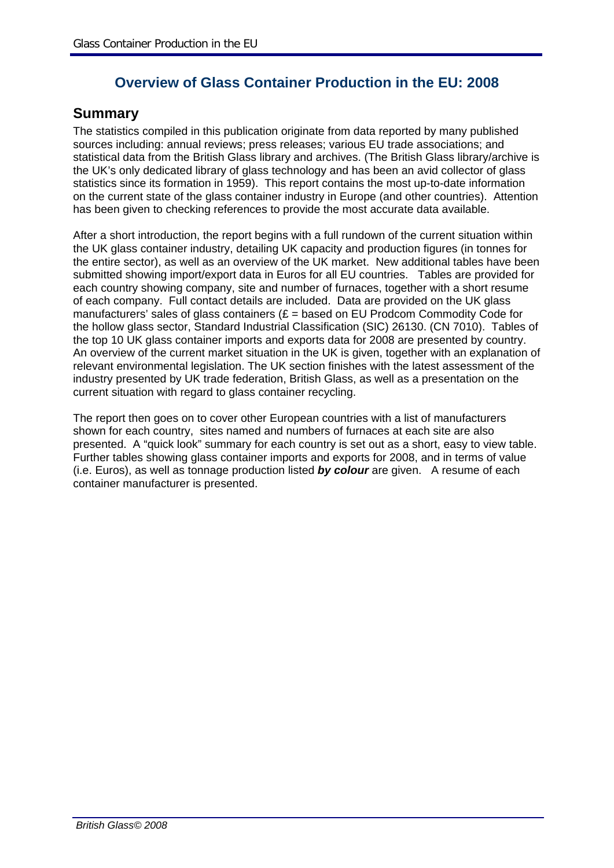### **Overview of Glass Container Production in the EU: 2008**

#### **Summary**

The statistics compiled in this publication originate from data reported by many published sources including: annual reviews; press releases; various EU trade associations; and statistical data from the British Glass library and archives. (The British Glass library/archive is the UK's only dedicated library of glass technology and has been an avid collector of glass statistics since its formation in 1959). This report contains the most up-to-date information on the current state of the glass container industry in Europe (and other countries). Attention has been given to checking references to provide the most accurate data available.

After a short introduction, the report begins with a full rundown of the current situation within the UK glass container industry, detailing UK capacity and production figures (in tonnes for the entire sector), as well as an overview of the UK market. New additional tables have been submitted showing import/export data in Euros for all EU countries. Tables are provided for each country showing company, site and number of furnaces, together with a short resume of each company. Full contact details are included. Data are provided on the UK glass manufacturers' sales of glass containers  $(E =$  based on EU Prodcom Commodity Code for the hollow glass sector, Standard Industrial Classification (SIC) 26130. (CN 7010). Tables of the top 10 UK glass container imports and exports data for 2008 are presented by country. An overview of the current market situation in the UK is given, together with an explanation of relevant environmental legislation. The UK section finishes with the latest assessment of the industry presented by UK trade federation, British Glass, as well as a presentation on the current situation with regard to glass container recycling.

The report then goes on to cover other European countries with a list of manufacturers shown for each country, sites named and numbers of furnaces at each site are also presented. A "quick look" summary for each country is set out as a short, easy to view table. Further tables showing glass container imports and exports for 2008, and in terms of value (i.e. Euros), as well as tonnage production listed *by colour* are given. A resume of each container manufacturer is presented.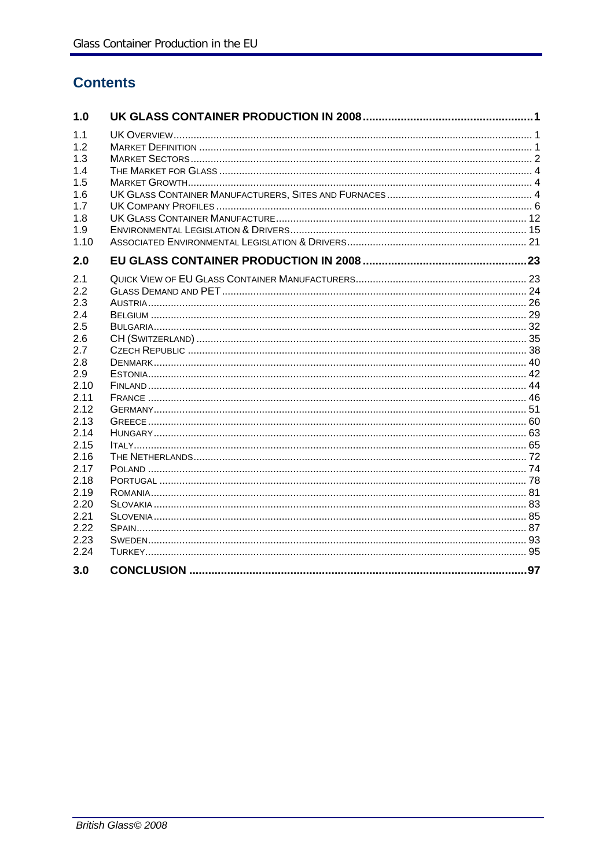# **Contents**

| 1.0  |  |
|------|--|
| 1.1  |  |
| 1.2  |  |
| 1.3  |  |
| 1.4  |  |
| 1.5  |  |
| 1.6  |  |
| 1.7  |  |
| 1.8  |  |
| 1.9  |  |
| 1.10 |  |
| 2.0  |  |
| 2.1  |  |
| 2.2  |  |
| 2.3  |  |
| 2.4  |  |
| 2.5  |  |
| 2.6  |  |
| 2.7  |  |
| 2.8  |  |
| 2.9  |  |
| 2.10 |  |
| 2.11 |  |
| 2.12 |  |
| 2.13 |  |
| 2.14 |  |
| 2.15 |  |
| 2.16 |  |
| 2.17 |  |
| 2.18 |  |
| 2.19 |  |
| 2.20 |  |
| 2.21 |  |
| 2.22 |  |
| 2.23 |  |
| 2.24 |  |
| 3.0  |  |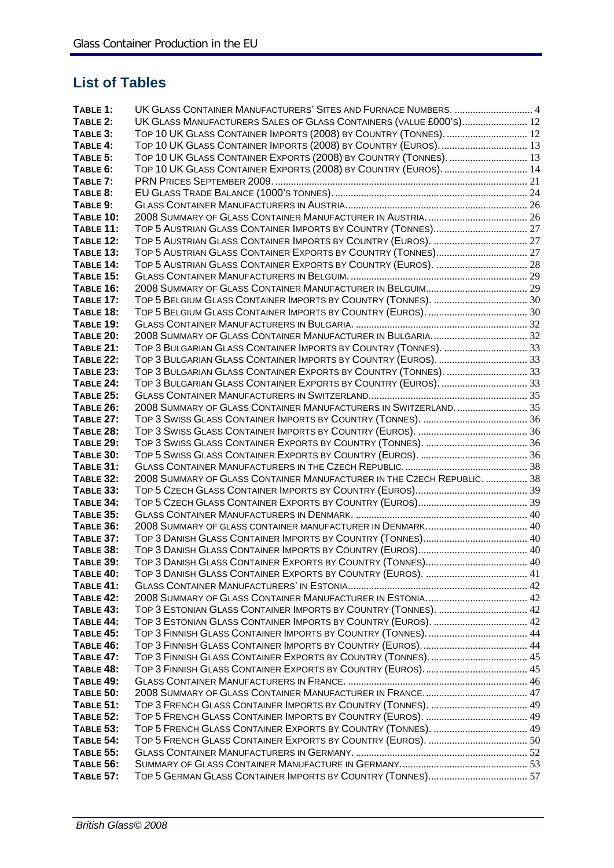## **List of Tables**

| TABLE 1:                      | UK GLASS CONTAINER MANUFACTURERS' SITES AND FURNACE NUMBERS.  4         |  |
|-------------------------------|-------------------------------------------------------------------------|--|
| TABLE 2:                      | UK GLASS MANUFACTURERS SALES OF GLASS CONTAINERS (VALUE £000'S) 12      |  |
| TABLE 3:                      | TOP 10 UK GLASS CONTAINER IMPORTS (2008) BY COUNTRY (TONNES).  12       |  |
| TABLE 4:                      | TOP 10 UK GLASS CONTAINER IMPORTS (2008) BY COUNTRY (EUROS).  13        |  |
| TABLE 5:                      | TOP 10 UK GLASS CONTAINER EXPORTS (2008) BY COUNTRY (TONNES).  13       |  |
| TABLE 6:                      | TOP 10 UK GLASS CONTAINER EXPORTS (2008) BY COUNTRY (EUROS).  14        |  |
| TABLE 7:                      |                                                                         |  |
| TABLE 8:                      |                                                                         |  |
| TABLE 9:                      |                                                                         |  |
| <b>TABLE 10:</b>              |                                                                         |  |
| <b>TABLE 11:</b>              |                                                                         |  |
| <b>TABLE 12:</b>              |                                                                         |  |
| <b>TABLE 13:</b>              |                                                                         |  |
| TABLE 14:                     | TOP 5 AUSTRIAN GLASS CONTAINER EXPORTS BY COUNTRY (EUROS).  28          |  |
| <b>TABLE 15:</b>              |                                                                         |  |
| <b>TABLE 16:</b>              |                                                                         |  |
| <b>TABLE 17:</b>              |                                                                         |  |
| <b>TABLE 18:</b>              |                                                                         |  |
| <b>TABLE 19:</b>              |                                                                         |  |
| <b>TABLE 20:</b>              |                                                                         |  |
| <b>TABLE 21:</b>              | TOP 3 BULGARIAN GLASS CONTAINER IMPORTS BY COUNTRY (TONNES).  33        |  |
| <b>TABLE 22:</b>              | TOP 3 BULGARIAN GLASS CONTAINER IMPORTS BY COUNTRY (EUROS).  33         |  |
| <b>TABLE 23:</b>              | TOP 3 BULGARIAN GLASS CONTAINER EXPORTS BY COUNTRY (TONNES).  33        |  |
| <b>TABLE 24:</b>              | TOP 3 BULGARIAN GLASS CONTAINER EXPORTS BY COUNTRY (EUROS).  33         |  |
| <b>TABLE 25:</b>              |                                                                         |  |
| <b>TABLE 26:</b>              | 2008 SUMMARY OF GLASS CONTAINER MANUFACTURERS IN SWITZERLAND.  35       |  |
| <b>TABLE 27:</b>              |                                                                         |  |
| <b>TABLE 28:</b>              |                                                                         |  |
| <b>TABLE 29:</b>              |                                                                         |  |
| <b>TABLE 30:</b>              |                                                                         |  |
| <b>TABLE 31:</b>              |                                                                         |  |
| <b>TABLE 32:</b>              | 2008 SUMMARY OF GLASS CONTAINER MANUFACTURER IN THE CZECH REPUBLIC.  38 |  |
| <b>TABLE 33:</b>              |                                                                         |  |
| <b>TABLE 34:</b>              |                                                                         |  |
| <b>TABLE 35:</b>              |                                                                         |  |
| <b>TABLE 36:</b>              |                                                                         |  |
| <b>TABLE 37:</b>              |                                                                         |  |
| <b>TABLE 38:</b>              |                                                                         |  |
| <b>TABLE 39:</b><br>TABLE 40: |                                                                         |  |
| TABLE 41:                     |                                                                         |  |
| <b>TABLE 42:</b>              |                                                                         |  |
| <b>TABLE 43:</b>              | TOP 3 ESTONIAN GLASS CONTAINER IMPORTS BY COUNTRY (TONNES).  42         |  |
| TABLE 44:                     |                                                                         |  |
| <b>TABLE 45:</b>              |                                                                         |  |
| <b>TABLE 46:</b>              |                                                                         |  |
| <b>TABLE 47:</b>              |                                                                         |  |
| <b>TABLE 48:</b>              |                                                                         |  |
| <b>TABLE 49:</b>              |                                                                         |  |
| <b>TABLE 50:</b>              |                                                                         |  |
| TABLE 51:                     |                                                                         |  |
| <b>TABLE 52:</b>              |                                                                         |  |
| <b>TABLE 53:</b>              |                                                                         |  |
| <b>TABLE 54:</b>              |                                                                         |  |
| <b>TABLE 55:</b>              |                                                                         |  |
| <b>TABLE 56:</b>              |                                                                         |  |
| <b>TABLE 57:</b>              |                                                                         |  |
|                               |                                                                         |  |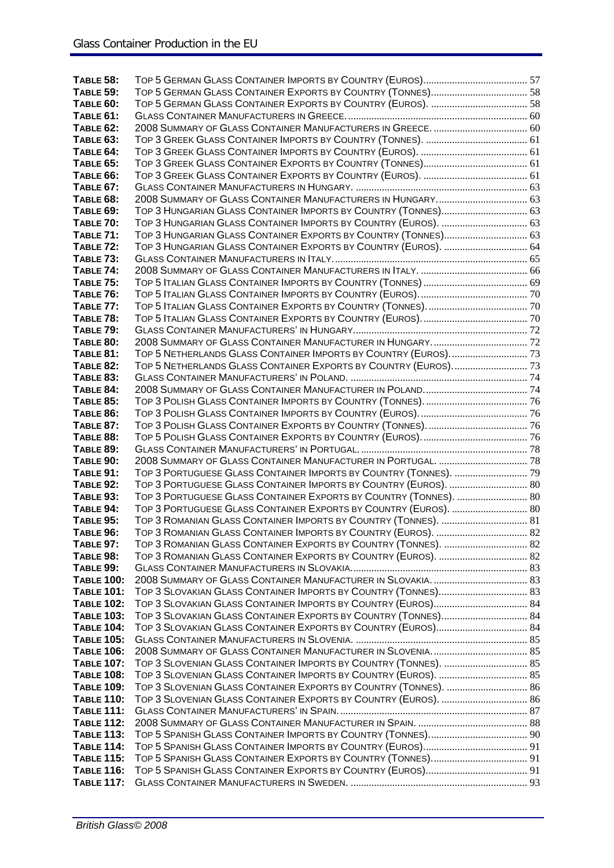| <b>TABLE 58:</b>  |                                                                   |  |
|-------------------|-------------------------------------------------------------------|--|
| <b>TABLE 59:</b>  |                                                                   |  |
| TABLE 60:         |                                                                   |  |
| TABLE 61:         |                                                                   |  |
| <b>TABLE 62:</b>  |                                                                   |  |
| <b>TABLE 63:</b>  |                                                                   |  |
| TABLE 64:         |                                                                   |  |
| <b>TABLE 65:</b>  |                                                                   |  |
|                   |                                                                   |  |
| TABLE 66:         |                                                                   |  |
| <b>TABLE 67:</b>  |                                                                   |  |
| <b>TABLE 68:</b>  |                                                                   |  |
| <b>TABLE 69:</b>  | TOP 3 HUNGARIAN GLASS CONTAINER IMPORTS BY COUNTRY (TONNES) 63    |  |
| <b>TABLE 70:</b>  | TOP 3 HUNGARIAN GLASS CONTAINER IMPORTS BY COUNTRY (EUROS).  63   |  |
| TABLE 71:         | TOP 3 HUNGARIAN GLASS CONTAINER EXPORTS BY COUNTRY (TONNES) 63    |  |
| <b>TABLE 72:</b>  | TOP 3 HUNGARIAN GLASS CONTAINER EXPORTS BY COUNTRY (EUROS).  64   |  |
| <b>TABLE 73:</b>  |                                                                   |  |
| <b>TABLE 74:</b>  |                                                                   |  |
| <b>TABLE 75:</b>  |                                                                   |  |
| <b>TABLE 76:</b>  |                                                                   |  |
| <b>TABLE 77:</b>  |                                                                   |  |
| <b>TABLE 78:</b>  |                                                                   |  |
| <b>TABLE 79:</b>  |                                                                   |  |
| <b>TABLE 80:</b>  |                                                                   |  |
| <b>TABLE 81:</b>  | TOP 5 NETHERLANDS GLASS CONTAINER IMPORTS BY COUNTRY (EUROS) 73   |  |
| <b>TABLE 82:</b>  |                                                                   |  |
| <b>TABLE 83:</b>  |                                                                   |  |
| TABLE 84:         |                                                                   |  |
| <b>TABLE 85:</b>  |                                                                   |  |
| <b>TABLE 86:</b>  |                                                                   |  |
| <b>TABLE 87:</b>  |                                                                   |  |
| TABLE 88:         |                                                                   |  |
| TABLE 89:         |                                                                   |  |
| TABLE 90:         | 2008 SUMMARY OF GLASS CONTAINER MANUFACTURER IN PORTUGAL.  78     |  |
| <b>TABLE 91:</b>  | TOP 3 PORTUGUESE GLASS CONTAINER IMPORTS BY COUNTRY (TONNES).  79 |  |
| TABLE 92:         | TOP 3 PORTUGUESE GLASS CONTAINER IMPORTS BY COUNTRY (EUROS).  80  |  |
| <b>TABLE 93:</b>  | TOP 3 PORTUGUESE GLASS CONTAINER EXPORTS BY COUNTRY (TONNES).  80 |  |
| TABLE 94:         | TOP 3 PORTUGUESE GLASS CONTAINER EXPORTS BY COUNTRY (EUROS).  80  |  |
| TABLE 95:         | TOP 3 ROMANIAN GLASS CONTAINER IMPORTS BY COUNTRY (TONNES).  81   |  |
| $T$ $ARI$ F $96$  |                                                                   |  |
| <b>TABLE 97:</b>  | TOP 3 ROMANIAN GLASS CONTAINER EXPORTS BY COUNTRY (TONNES).  82   |  |
| <b>TABLE 98:</b>  |                                                                   |  |
| <b>TABLE 99:</b>  |                                                                   |  |
| <b>TABLE 100:</b> |                                                                   |  |
| <b>TABLE 101:</b> | TOP 3 SLOVAKIAN GLASS CONTAINER IMPORTS BY COUNTRY (TONNES) 83    |  |
| <b>TABLE 102:</b> | TOP 3 SLOVAKIAN GLASS CONTAINER IMPORTS BY COUNTRY (EUROS) 84     |  |
| <b>TABLE 103:</b> | TOP 3 SLOVAKIAN GLASS CONTAINER EXPORTS BY COUNTRY (TONNES) 84    |  |
| <b>TABLE 104:</b> | TOP 3 SLOVAKIAN GLASS CONTAINER EXPORTS BY COUNTRY (EUROS) 84     |  |
| <b>TABLE 105:</b> |                                                                   |  |
| <b>TABLE 106:</b> |                                                                   |  |
| <b>TABLE 107:</b> |                                                                   |  |
| <b>TABLE 108:</b> |                                                                   |  |
| <b>TABLE 109:</b> | TOP 3 SLOVENIAN GLASS CONTAINER EXPORTS BY COUNTRY (TONNES).  86  |  |
| <b>TABLE 110:</b> | TOP 3 SLOVENIAN GLASS CONTAINER EXPORTS BY COUNTRY (EUROS).  86   |  |
| <b>TABLE 111:</b> |                                                                   |  |
| <b>TABLE 112:</b> |                                                                   |  |
| <b>TABLE 113:</b> |                                                                   |  |
| <b>TABLE 114:</b> |                                                                   |  |
| <b>TABLE 115:</b> |                                                                   |  |
| <b>TABLE 116:</b> |                                                                   |  |
| <b>TABLE 117:</b> |                                                                   |  |